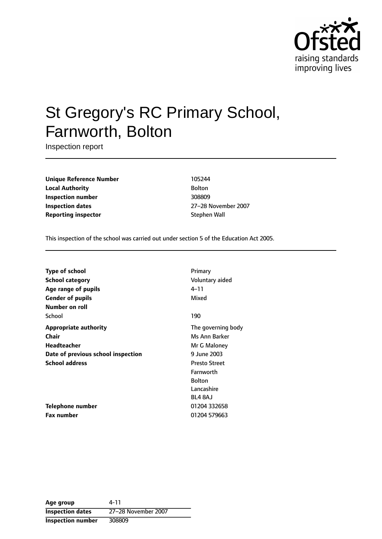

# St Gregory's RC Primary School, Farnworth, Bolton

Inspection report

**Unique Reference Number** 105244 **Local Authority** Bolton **Inspection number** 308809 **Inspection dates** 27-28 November 2007 **Reporting inspector** Stephen Wall

This inspection of the school was carried out under section 5 of the Education Act 2005.

| <b>Type of school</b>              | Primary              |
|------------------------------------|----------------------|
| <b>School category</b>             | Voluntary aided      |
| Age range of pupils                | 4–11                 |
| <b>Gender of pupils</b>            | Mixed                |
| Number on roll                     |                      |
| School                             | 190                  |
| <b>Appropriate authority</b>       | The governing body   |
| Chair                              | Ms Ann Barker        |
| <b>Headteacher</b>                 | Mr G Maloney         |
| Date of previous school inspection | 9 June 2003          |
| <b>School address</b>              | <b>Presto Street</b> |
|                                    | Farnworth            |
|                                    | <b>Bolton</b>        |
|                                    | Lancashire           |
|                                    | BL4 8AJ              |
| Telephone number                   | 01204 332658         |
| Fax number                         | 01204 579663         |

**Age group** 4-11 **Inspection dates** 27-28 November 2007 **Inspection number** 308809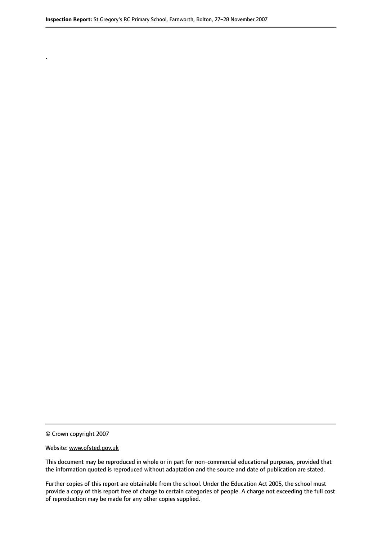© Crown copyright 2007

.

#### Website: www.ofsted.gov.uk

This document may be reproduced in whole or in part for non-commercial educational purposes, provided that the information quoted is reproduced without adaptation and the source and date of publication are stated.

Further copies of this report are obtainable from the school. Under the Education Act 2005, the school must provide a copy of this report free of charge to certain categories of people. A charge not exceeding the full cost of reproduction may be made for any other copies supplied.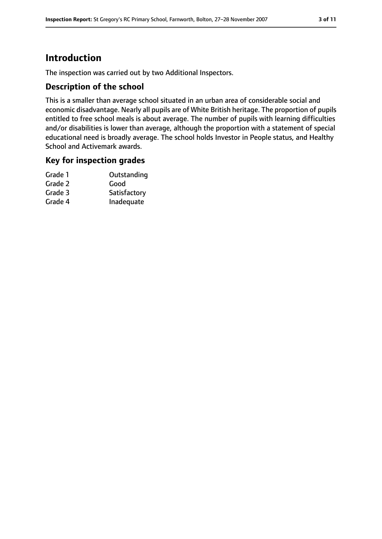# **Introduction**

The inspection was carried out by two Additional Inspectors.

#### **Description of the school**

This is a smaller than average school situated in an urban area of considerable social and economic disadvantage. Nearly all pupils are of White British heritage. The proportion of pupils entitled to free school meals is about average. The number of pupils with learning difficulties and/or disabilities is lower than average, although the proportion with a statement of special educational need is broadly average. The school holds Investor in People status, and Healthy School and Activemark awards.

#### **Key for inspection grades**

| Grade 1 | Outstanding  |
|---------|--------------|
| Grade 2 | Good         |
| Grade 3 | Satisfactory |
| Grade 4 | Inadequate   |
|         |              |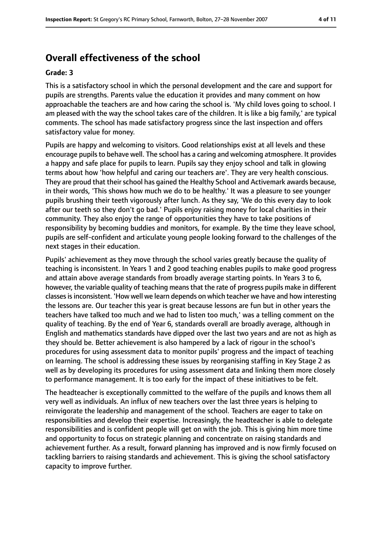# **Overall effectiveness of the school**

#### **Grade: 3**

This is a satisfactory school in which the personal development and the care and support for pupils are strengths. Parents value the education it provides and many comment on how approachable the teachers are and how caring the school is. 'My child loves going to school. I am pleased with the way the school takes care of the children. It is like a big family,' are typical comments. The school has made satisfactory progress since the last inspection and offers satisfactory value for money.

Pupils are happy and welcoming to visitors. Good relationships exist at all levels and these encourage pupils to behave well. The school has a caring and welcoming atmosphere. It provides a happy and safe place for pupils to learn. Pupils say they enjoy school and talk in glowing terms about how 'how helpful and caring our teachers are'. They are very health conscious. They are proud that their school has gained the Healthy School and Activemark awards because, in their words, 'This shows how much we do to be healthy.' It was a pleasure to see younger pupils brushing their teeth vigorously after lunch. As they say, 'We do this every day to look after our teeth so they don't go bad.' Pupils enjoy raising money for local charities in their community. They also enjoy the range of opportunities they have to take positions of responsibility by becoming buddies and monitors, for example. By the time they leave school, pupils are self-confident and articulate young people looking forward to the challenges of the next stages in their education.

Pupils' achievement as they move through the school varies greatly because the quality of teaching is inconsistent. In Years 1 and 2 good teaching enables pupils to make good progress and attain above average standards from broadly average starting points. In Years 3 to 6, however, the variable quality of teaching means that the rate of progress pupils make in different classes is inconsistent. 'How well we learn depends on which teacher we have and how interesting the lessons are. Our teacher this year is great because lessons are fun but in other years the teachers have talked too much and we had to listen too much,' was a telling comment on the quality of teaching. By the end of Year 6, standards overall are broadly average, although in English and mathematics standards have dipped over the last two years and are not as high as they should be. Better achievement is also hampered by a lack of rigour in the school's procedures for using assessment data to monitor pupils' progress and the impact of teaching on learning. The school is addressing these issues by reorganising staffing in Key Stage 2 as well as by developing its procedures for using assessment data and linking them more closely to performance management. It is too early for the impact of these initiatives to be felt.

The headteacher is exceptionally committed to the welfare of the pupils and knows them all very well as individuals. An influx of new teachers over the last three years is helping to reinvigorate the leadership and management of the school. Teachers are eager to take on responsibilities and develop their expertise. Increasingly, the headteacher is able to delegate responsibilities and is confident people will get on with the job. This is giving him more time and opportunity to focus on strategic planning and concentrate on raising standards and achievement further. As a result, forward planning has improved and is now firmly focused on tackling barriers to raising standards and achievement. This is giving the school satisfactory capacity to improve further.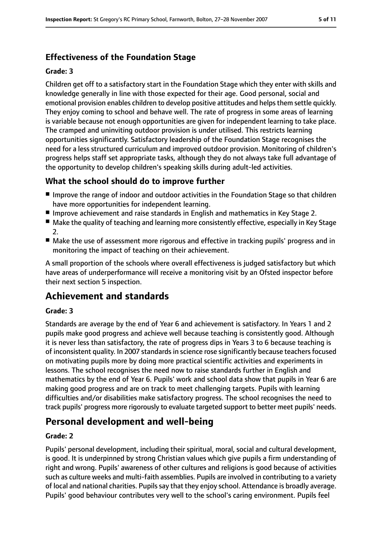### **Effectiveness of the Foundation Stage**

#### **Grade: 3**

Children get off to a satisfactory start in the Foundation Stage which they enter with skills and knowledge generally in line with those expected for their age. Good personal, social and emotional provision enables children to develop positive attitudes and helps them settle quickly. They enjoy coming to school and behave well. The rate of progress in some areas of learning is variable because not enough opportunities are given for independent learning to take place. The cramped and uninviting outdoor provision is under utilised. This restricts learning opportunities significantly. Satisfactory leadership of the Foundation Stage recognises the need for a less structured curriculum and improved outdoor provision. Monitoring of children's progress helps staff set appropriate tasks, although they do not always take full advantage of the opportunity to develop children's speaking skills during adult-led activities.

#### **What the school should do to improve further**

- Improve the range of indoor and outdoor activities in the Foundation Stage so that children have more opportunities for independent learning.
- Improve achievement and raise standards in English and mathematics in Key Stage 2.
- Make the quality of teaching and learning more consistently effective, especially in Key Stage 2.
- Make the use of assessment more rigorous and effective in tracking pupils' progress and in monitoring the impact of teaching on their achievement.

A small proportion of the schools where overall effectiveness is judged satisfactory but which have areas of underperformance will receive a monitoring visit by an Ofsted inspector before their next section 5 inspection.

### **Achievement and standards**

#### **Grade: 3**

Standards are average by the end of Year 6 and achievement is satisfactory. In Years 1 and 2 pupils make good progress and achieve well because teaching is consistently good. Although it is never less than satisfactory, the rate of progress dips in Years 3 to 6 because teaching is of inconsistent quality. In 2007 standards in science rose significantly because teachers focused on motivating pupils more by doing more practical scientific activities and experiments in lessons. The school recognises the need now to raise standards further in English and mathematics by the end of Year 6. Pupils' work and school data show that pupils in Year 6 are making good progress and are on track to meet challenging targets. Pupils with learning difficulties and/or disabilities make satisfactory progress. The school recognises the need to track pupils' progress more rigorously to evaluate targeted support to better meet pupils' needs.

### **Personal development and well-being**

#### **Grade: 2**

Pupils' personal development, including their spiritual, moral, social and cultural development, is good. It is underpinned by strong Christian values which give pupils a firm understanding of right and wrong. Pupils' awareness of other cultures and religions is good because of activities such as culture weeks and multi-faith assemblies. Pupils are involved in contributing to a variety of local and national charities. Pupils say that they enjoy school. Attendance is broadly average. Pupils' good behaviour contributes very well to the school's caring environment. Pupils feel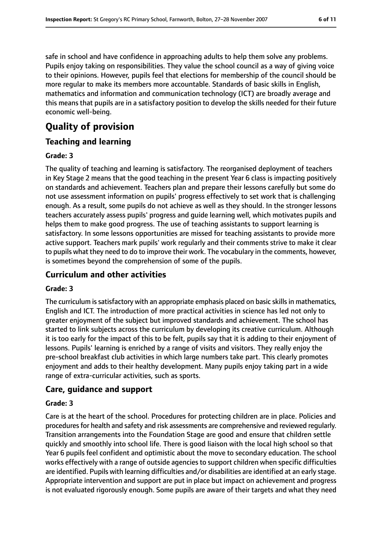safe in school and have confidence in approaching adults to help them solve any problems. Pupils enjoy taking on responsibilities. They value the school council as a way of giving voice to their opinions. However, pupils feel that elections for membership of the council should be more regular to make its members more accountable. Standards of basic skills in English, mathematics and information and communication technology (ICT) are broadly average and this means that pupils are in a satisfactory position to develop the skills needed for their future economic well-being.

# **Quality of provision**

### **Teaching and learning**

#### **Grade: 3**

The quality of teaching and learning is satisfactory. The reorganised deployment of teachers in Key Stage 2 means that the good teaching in the present Year 6 class is impacting positively on standards and achievement. Teachers plan and prepare their lessons carefully but some do not use assessment information on pupils' progress effectively to set work that is challenging enough. As a result, some pupils do not achieve as well as they should. In the stronger lessons teachers accurately assess pupils' progress and guide learning well, which motivates pupils and helps them to make good progress. The use of teaching assistants to support learning is satisfactory. In some lessons opportunities are missed for teaching assistants to provide more active support. Teachers mark pupils' work regularly and their comments strive to make it clear to pupils what they need to do to improve their work. The vocabulary in the comments, however, is sometimes beyond the comprehension of some of the pupils.

#### **Curriculum and other activities**

#### **Grade: 3**

The curriculum issatisfactory with an appropriate emphasis placed on basic skillsin mathematics, English and ICT. The introduction of more practical activities in science has led not only to greater enjoyment of the subject but improved standards and achievement. The school has started to link subjects across the curriculum by developing its creative curriculum. Although it is too early for the impact of this to be felt, pupils say that it is adding to their enjoyment of lessons. Pupils' learning is enriched by a range of visits and visitors. They really enjoy the pre-school breakfast club activities in which large numbers take part. This clearly promotes enjoyment and adds to their healthy development. Many pupils enjoy taking part in a wide range of extra-curricular activities, such as sports.

#### **Care, guidance and support**

#### **Grade: 3**

Care is at the heart of the school. Procedures for protecting children are in place. Policies and procedures for health and safety and risk assessments are comprehensive and reviewed regularly. Transition arrangements into the Foundation Stage are good and ensure that children settle quickly and smoothly into school life. There is good liaison with the local high school so that Year 6 pupils feel confident and optimistic about the move to secondary education. The school works effectively with a range of outside agencies to support children when specific difficulties are identified. Pupils with learning difficulties and/or disabilities are identified at an early stage. Appropriate intervention and support are put in place but impact on achievement and progress is not evaluated rigorously enough. Some pupils are aware of their targets and what they need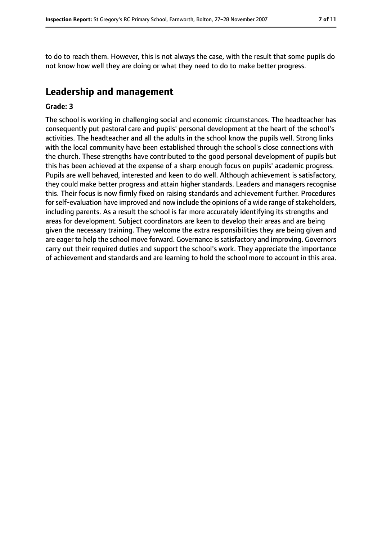to do to reach them. However, this is not always the case, with the result that some pupils do not know how well they are doing or what they need to do to make better progress.

### **Leadership and management**

#### **Grade: 3**

The school is working in challenging social and economic circumstances. The headteacher has consequently put pastoral care and pupils' personal development at the heart of the school's activities. The headteacher and all the adults in the school know the pupils well. Strong links with the local community have been established through the school's close connections with the church. These strengths have contributed to the good personal development of pupils but this has been achieved at the expense of a sharp enough focus on pupils' academic progress. Pupils are well behaved, interested and keen to do well. Although achievement is satisfactory, they could make better progress and attain higher standards. Leaders and managers recognise this. Their focus is now firmly fixed on raising standards and achievement further. Procedures for self-evaluation have improved and now include the opinions of a wide range of stakeholders, including parents. As a result the school is far more accurately identifying its strengths and areas for development. Subject coordinators are keen to develop their areas and are being given the necessary training. They welcome the extra responsibilities they are being given and are eager to help the school move forward. Governance is satisfactory and improving. Governors carry out their required duties and support the school's work. They appreciate the importance of achievement and standards and are learning to hold the school more to account in this area.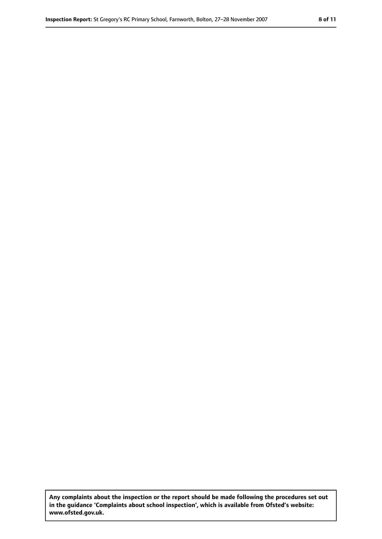**Any complaints about the inspection or the report should be made following the procedures set out in the guidance 'Complaints about school inspection', which is available from Ofsted's website: www.ofsted.gov.uk.**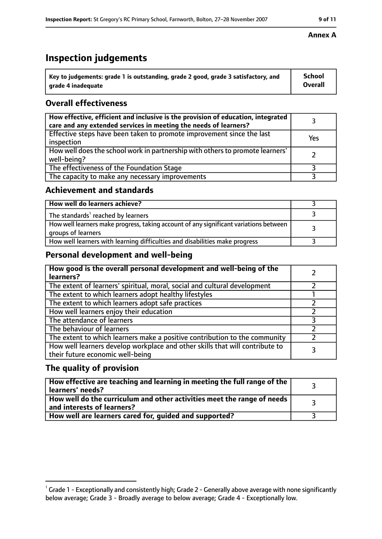# **Inspection judgements**

| $\lq$ Key to judgements: grade 1 is outstanding, grade 2 good, grade 3 satisfactory, and | School         |
|------------------------------------------------------------------------------------------|----------------|
| arade 4 inadequate                                                                       | <b>Overall</b> |

### **Overall effectiveness**

| How effective, efficient and inclusive is the provision of education, integrated<br>care and any extended services in meeting the needs of learners? |     |
|------------------------------------------------------------------------------------------------------------------------------------------------------|-----|
| Effective steps have been taken to promote improvement since the last<br>inspection                                                                  | Yes |
| How well does the school work in partnership with others to promote learners'<br>well-being?                                                         |     |
| The effectiveness of the Foundation Stage                                                                                                            |     |
| The capacity to make any necessary improvements                                                                                                      |     |

#### **Achievement and standards**

| How well do learners achieve?                                                                               |  |
|-------------------------------------------------------------------------------------------------------------|--|
| The standards <sup>1</sup> reached by learners                                                              |  |
| How well learners make progress, taking account of any significant variations between<br>groups of learners |  |
| How well learners with learning difficulties and disabilities make progress                                 |  |

### **Personal development and well-being**

| How good is the overall personal development and well-being of the<br>learners?                                  |  |
|------------------------------------------------------------------------------------------------------------------|--|
| The extent of learners' spiritual, moral, social and cultural development                                        |  |
| The extent to which learners adopt healthy lifestyles                                                            |  |
| The extent to which learners adopt safe practices                                                                |  |
| How well learners enjoy their education                                                                          |  |
| The attendance of learners                                                                                       |  |
| The behaviour of learners                                                                                        |  |
| The extent to which learners make a positive contribution to the community                                       |  |
| How well learners develop workplace and other skills that will contribute to<br>their future economic well-being |  |

#### **The quality of provision**

| How effective are teaching and learning in meeting the full range of the<br>learners' needs?          |  |
|-------------------------------------------------------------------------------------------------------|--|
| How well do the curriculum and other activities meet the range of needs<br>and interests of learners? |  |
| How well are learners cared for, guided and supported?                                                |  |

#### **Annex A**

 $^1$  Grade 1 - Exceptionally and consistently high; Grade 2 - Generally above average with none significantly below average; Grade 3 - Broadly average to below average; Grade 4 - Exceptionally low.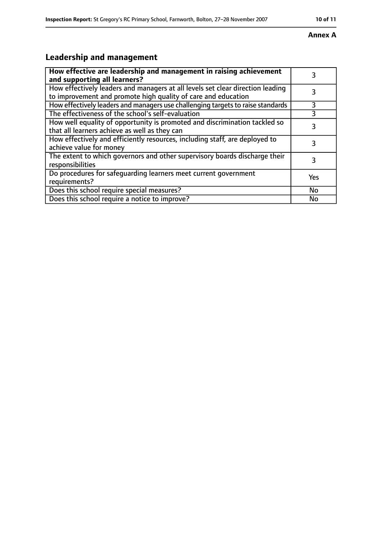# **Annex A**

# **Leadership and management**

| How effective are leadership and management in raising achievement<br>and supporting all learners?                                              |           |
|-------------------------------------------------------------------------------------------------------------------------------------------------|-----------|
| How effectively leaders and managers at all levels set clear direction leading<br>to improvement and promote high quality of care and education |           |
| How effectively leaders and managers use challenging targets to raise standards                                                                 | 3         |
| The effectiveness of the school's self-evaluation                                                                                               | 3         |
| How well equality of opportunity is promoted and discrimination tackled so<br>that all learners achieve as well as they can                     | 3         |
| How effectively and efficiently resources, including staff, are deployed to<br>achieve value for money                                          | 3         |
| The extent to which governors and other supervisory boards discharge their<br>responsibilities                                                  | 3         |
| Do procedures for safequarding learners meet current government<br>requirements?                                                                | Yes       |
| Does this school require special measures?                                                                                                      | <b>No</b> |
| Does this school require a notice to improve?                                                                                                   | No        |